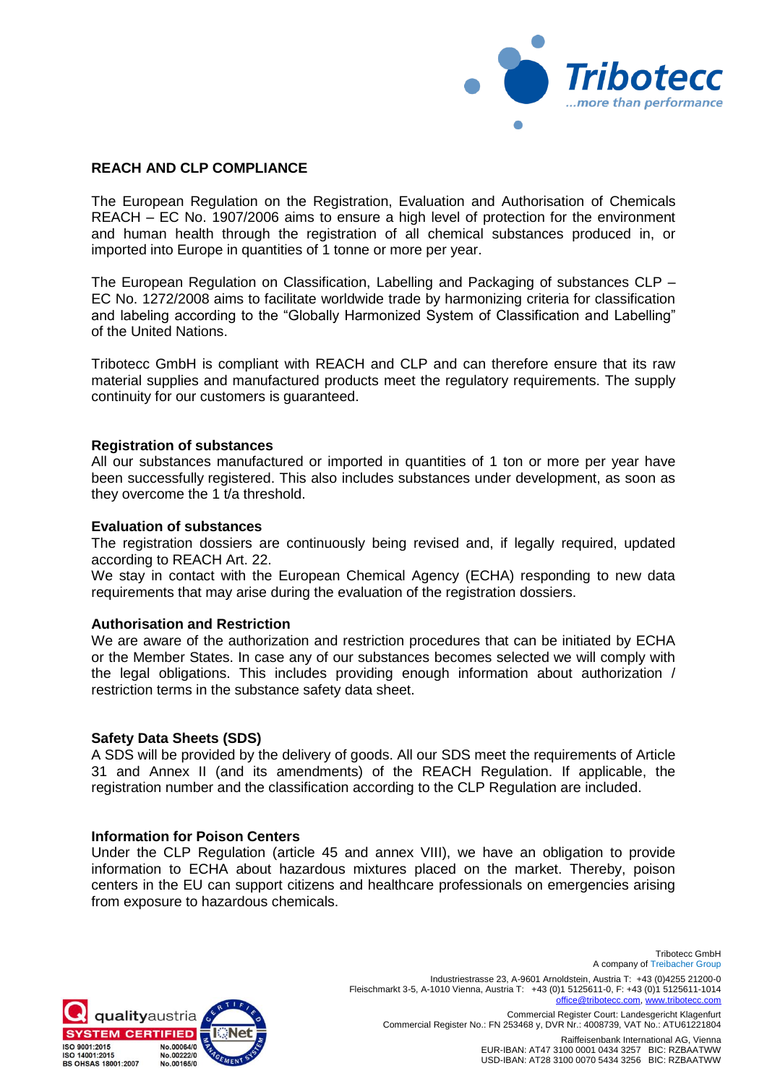

# **REACH AND CLP COMPLIANCE**

The European Regulation on the Registration, Evaluation and Authorisation of Chemicals REACH – EC No. 1907/2006 aims to ensure a high level of protection for the environment and human health through the registration of all chemical substances produced in, or imported into Europe in quantities of 1 tonne or more per year.

The European Regulation on Classification, Labelling and Packaging of substances CLP – EC No. 1272/2008 aims to facilitate worldwide trade by harmonizing criteria for classification and labeling according to the "Globally Harmonized System of Classification and Labelling" of the United Nations.

Tribotecc GmbH is compliant with REACH and CLP and can therefore ensure that its raw material supplies and manufactured products meet the regulatory requirements. The supply continuity for our customers is guaranteed.

#### **Registration of substances**

All our substances manufactured or imported in quantities of 1 ton or more per year have been successfully registered. This also includes substances under development, as soon as they overcome the 1 t/a threshold.

#### **Evaluation of substances**

The registration dossiers are continuously being revised and, if legally required, updated according to REACH Art. 22.

We stay in contact with the European Chemical Agency (ECHA) responding to new data requirements that may arise during the evaluation of the registration dossiers.

## **Authorisation and Restriction**

We are aware of the authorization and restriction procedures that can be initiated by ECHA or the Member States. In case any of our substances becomes selected we will comply with the legal obligations. This includes providing enough information about authorization / restriction terms in the substance safety data sheet.

## **Safety Data Sheets (SDS)**

A SDS will be provided by the delivery of goods. All our SDS meet the requirements of Article 31 and Annex II (and its amendments) of the REACH Regulation. If applicable, the registration number and the classification according to the CLP Regulation are included.

#### **Information for Poison Centers**

Under the CLP Regulation (article 45 and annex VIII), we have an obligation to provide information to ECHA about hazardous mixtures placed on the market. Thereby, poison centers in the EU can support citizens and healthcare professionals on emergencies arising from exposure to hazardous chemicals.



A company of Treibacher Group Industriestrasse 23, A-9601 Arnoldstein, Austria T: +43 (0)4255 21200-0 Fleischmarkt 3-5, A-1010 Vienna, Austria T: +43 (0)1 5125611-0, F: +43 (0)1 5125611-1014 [office@tribotecc.c](mailto:office@tribotecc.)om, www.trib

Commercial Register Court: Landesgericht Klagenfurt Commercial Register No.: FN 253468 y, DVR Nr.: 4008739, VAT No.: ATU61221804

Tribotecc GmbH